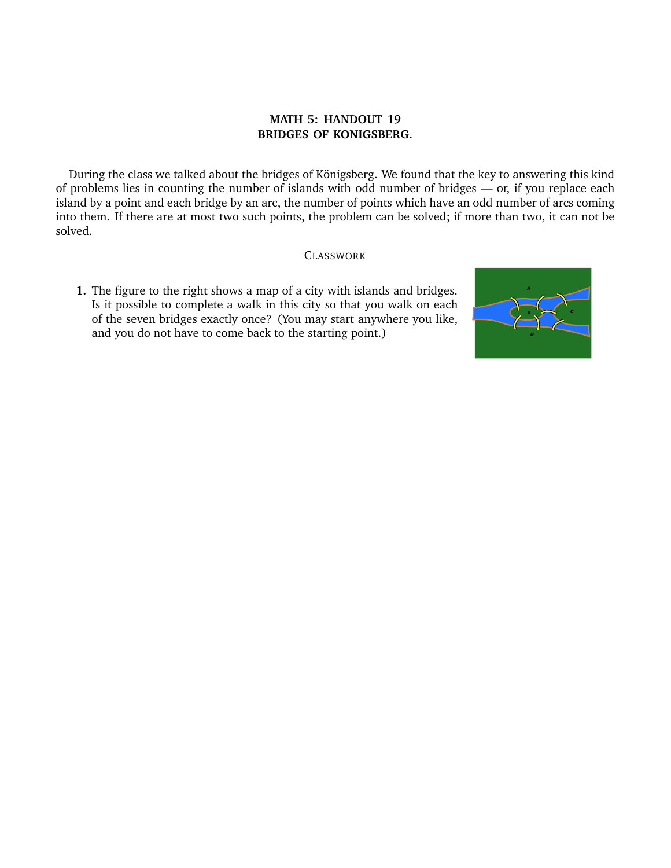## **MATH 5: HANDOUT 19 BRIDGES OF KONIGSBERG.**

During the class we talked about the bridges of Königsberg. We found that the key to answering this kind of problems lies in counting the number of islands with odd number of bridges — or, if you replace each island by a point and each bridge by an arc, the number of points which have an odd number of arcs coming into them. If there are at most two such points, the problem can be solved; if more than two, it can not be solved.

## CLASSWORK

**1.** The figure to the right shows a map of a city with islands and bridges. Is it possible to complete a walk in this city so that you walk on each of the seven bridges exactly once? (You may start anywhere you like, and you do not have to come back to the starting point.)